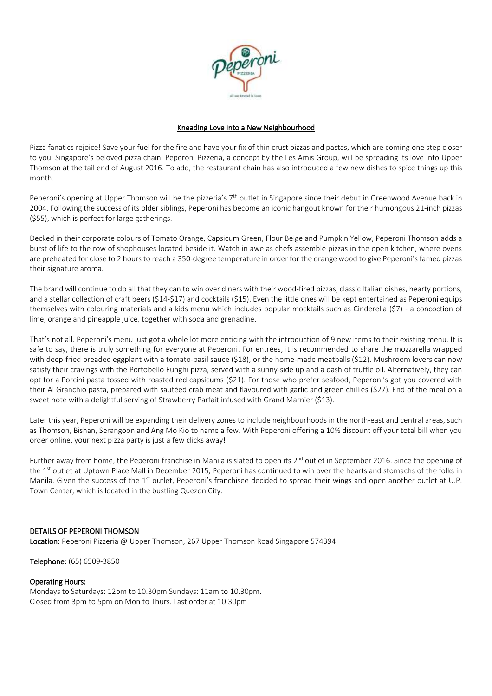

## Kneading Love into a New Neighbourhood

Pizza fanatics rejoice! Save your fuel for the fire and have your fix of thin crust pizzas and pastas, which are coming one step closer to you. Singapore's beloved pizza chain, Peperoni Pizzeria, a concept by the Les Amis Group, will be spreading its love into Upper Thomson at the tail end of August 2016. To add, the restaurant chain has also introduced a few new dishes to spice things up this month.

Peperoni's opening at Upper Thomson will be the pizzeria's 7<sup>th</sup> outlet in Singapore since their debut in Greenwood Avenue back in 2004. Following the success of its older siblings, Peperoni has become an iconic hangout known for their humongous 21-inch pizzas (\$55), which is perfect for large gatherings.

Decked in their corporate colours of Tomato Orange, Capsicum Green, Flour Beige and Pumpkin Yellow, Peperoni Thomson adds a burst of life to the row of shophouses located beside it. Watch in awe as chefs assemble pizzas in the open kitchen, where ovens are preheated for close to 2 hours to reach a 350-degree temperature in order for the orange wood to give Peperoni's famed pizzas their signature aroma.

The brand will continue to do all that they can to win over diners with their wood-fired pizzas, classic Italian dishes, hearty portions, and a stellar collection of craft beers (\$14-\$17) and cocktails (\$15). Even the little ones will be kept entertained as Peperoni equips themselves with colouring materials and a kids menu which includes popular mocktails such as Cinderella (\$7) - a concoction of lime, orange and pineapple juice, together with soda and grenadine.

That's not all. Peperoni's menu just got a whole lot more enticing with the introduction of 9 new items to their existing menu. It is safe to say, there is truly something for everyone at Peperoni. For entrées, it is recommended to share the mozzarella wrapped with deep-fried breaded eggplant with a tomato-basil sauce (\$18), or the home-made meatballs (\$12). Mushroom lovers can now satisfy their cravings with the Portobello Funghi pizza, served with a sunny-side up and a dash of truffle oil. Alternatively, they can opt for a Porcini pasta tossed with roasted red capsicums (\$21). For those who prefer seafood, Peperoni's got you covered with their Al Granchio pasta, prepared with sautéed crab meat and flavoured with garlic and green chillies (\$27). End of the meal on a sweet note with a delightful serving of Strawberry Parfait infused with Grand Marnier (\$13).

Later this year, Peperoni will be expanding their delivery zones to include neighbourhoods in the north-east and central areas, such as Thomson, Bishan, Serangoon and Ang Mo Kio to name a few. With Peperoni offering a 10% discount off your total bill when you order online, your next pizza party is just a few clicks away!

Further away from home, the Peperoni franchise in Manila is slated to open its 2<sup>nd</sup> outlet in September 2016. Since the opening of the 1 st outlet at Uptown Place Mall in December 2015, Peperoni has continued to win over the hearts and stomachs of the folks in Manila. Given the success of the 1<sup>st</sup> outlet, Peperoni's franchisee decided to spread their wings and open another outlet at U.P. Town Center, which is located in the bustling Quezon City.

## DETAILS OF PEPERONI THOMSON

Location: Peperoni Pizzeria @ Upper Thomson, 267 Upper Thomson Road Singapore 574394

Telephone: (65) 6509-3850

## Operating Hours:

Mondays to Saturdays: 12pm to 10.30pm Sundays: 11am to 10.30pm. Closed from 3pm to 5pm on Mon to Thurs. Last order at 10.30pm